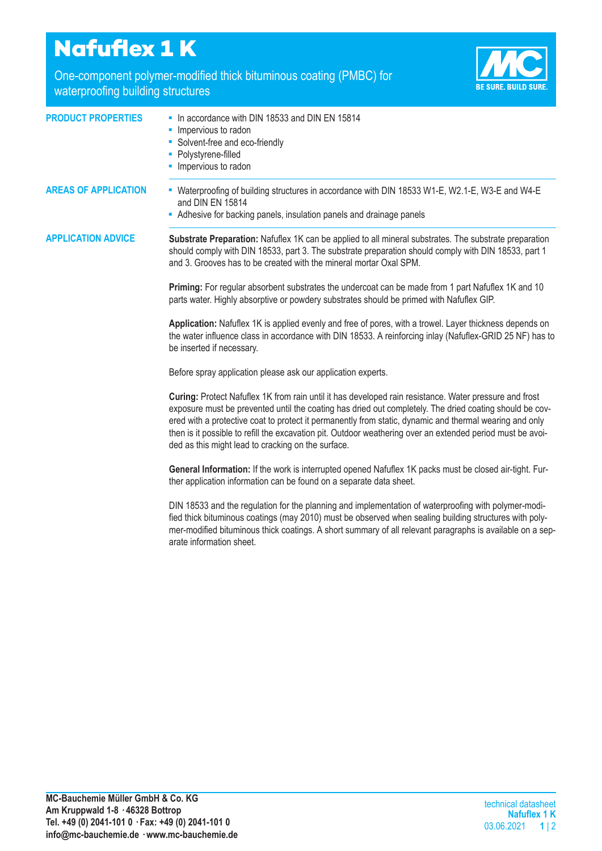## **Nafuflex 1 K**

One-component polymer-modified thick bituminous coating (PMBC) for waterproofing building structures

arate information sheet.



| <b>PRODUCT PROPERTIES</b>   | - In accordance with DIN 18533 and DIN EN 15814                                                                                                                                                                                                                                                                                                                                                                                                                                                  |
|-----------------------------|--------------------------------------------------------------------------------------------------------------------------------------------------------------------------------------------------------------------------------------------------------------------------------------------------------------------------------------------------------------------------------------------------------------------------------------------------------------------------------------------------|
|                             | Impervious to radon<br>٠                                                                                                                                                                                                                                                                                                                                                                                                                                                                         |
|                             | • Solvent-free and eco-friendly                                                                                                                                                                                                                                                                                                                                                                                                                                                                  |
|                             | • Polystyrene-filled<br>Impervious to radon                                                                                                                                                                                                                                                                                                                                                                                                                                                      |
|                             |                                                                                                                                                                                                                                                                                                                                                                                                                                                                                                  |
| <b>AREAS OF APPLICATION</b> | - Waterproofing of building structures in accordance with DIN 18533 W1-E, W2.1-E, W3-E and W4-E<br>and DIN EN 15814                                                                                                                                                                                                                                                                                                                                                                              |
|                             | - Adhesive for backing panels, insulation panels and drainage panels                                                                                                                                                                                                                                                                                                                                                                                                                             |
| <b>APPLICATION ADVICE</b>   | Substrate Preparation: Nafuflex 1K can be applied to all mineral substrates. The substrate preparation<br>should comply with DIN 18533, part 3. The substrate preparation should comply with DIN 18533, part 1<br>and 3. Grooves has to be created with the mineral mortar Oxal SPM.                                                                                                                                                                                                             |
|                             | Priming: For regular absorbent substrates the undercoat can be made from 1 part Nafuflex 1K and 10<br>parts water. Highly absorptive or powdery substrates should be primed with Nafuflex GIP.                                                                                                                                                                                                                                                                                                   |
|                             | Application: Nafuflex 1K is applied evenly and free of pores, with a trowel. Layer thickness depends on<br>the water influence class in accordance with DIN 18533. A reinforcing inlay (Nafuflex-GRID 25 NF) has to<br>be inserted if necessary.                                                                                                                                                                                                                                                 |
|                             | Before spray application please ask our application experts.                                                                                                                                                                                                                                                                                                                                                                                                                                     |
|                             | Curing: Protect Nafuflex 1K from rain until it has developed rain resistance. Water pressure and frost<br>exposure must be prevented until the coating has dried out completely. The dried coating should be cov-<br>ered with a protective coat to protect it permanently from static, dynamic and thermal wearing and only<br>then is it possible to refill the excavation pit. Outdoor weathering over an extended period must be avoi-<br>ded as this might lead to cracking on the surface. |
|                             | General Information: If the work is interrupted opened Nafuflex 1K packs must be closed air-tight. Fur-<br>ther application information can be found on a separate data sheet.                                                                                                                                                                                                                                                                                                                   |
|                             | DIN 18533 and the regulation for the planning and implementation of waterproofing with polymer-modi-<br>fied thick bituminous coatings (may 2010) must be observed when sealing building structures with poly-                                                                                                                                                                                                                                                                                   |

mer-modified bituminous thick coatings. A short summary of all relevant paragraphs is available on a sep-

**MC-Bauchemie Müller GmbH & Co. KG Am Kruppwald 1-8 · 46328 Bottrop Tel. +49 (0) 2041-101 0 · Fax: +49 (0) 2041-101 0 info@mc-bauchemie.de · www.mc-bauchemie.de**